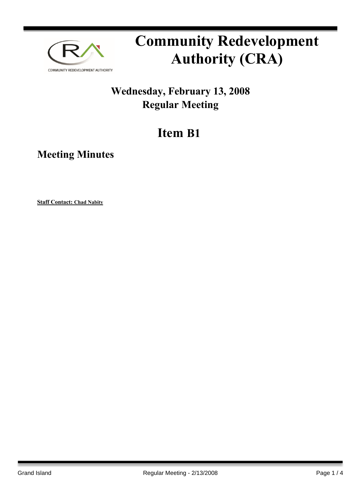

# **Community Redevelopment Authority (CRA)**

### **Wednesday, February 13, 2008 Regular Meeting**

## **Item B1**

**Meeting Minutes**

**Staff Contact: Chad Nabity**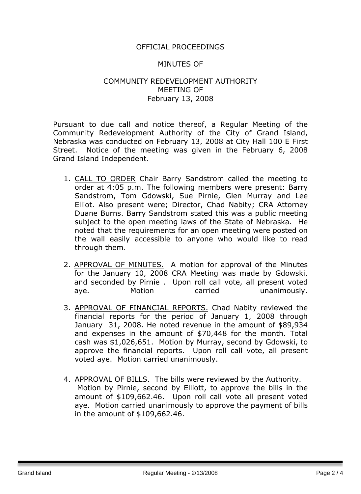#### OFFICIAL PROCEEDINGS

#### MINUTES OF

#### COMMUNITY REDEVELOPMENT AUTHORITY MEETING OF February 13, 2008

Pursuant to due call and notice thereof, a Regular Meeting of the Community Redevelopment Authority of the City of Grand Island, Nebraska was conducted on February 13, 2008 at City Hall 100 E First Street. Notice of the meeting was given in the February 6, 2008 Grand Island Independent.

- 1. CALL TO ORDER Chair Barry Sandstrom called the meeting to order at 4:05 p.m. The following members were present: Barry Sandstrom, Tom Gdowski, Sue Pirnie, Glen Murray and Lee Elliot. Also present were; Director, Chad Nabity; CRA Attorney Duane Burns. Barry Sandstrom stated this was a public meeting subject to the open meeting laws of the State of Nebraska. He noted that the requirements for an open meeting were posted on the wall easily accessible to anyone who would like to read through them.
- 2. APPROVAL OF MINUTES. A motion for approval of the Minutes for the January 10, 2008 CRA Meeting was made by Gdowski, and seconded by Pirnie . Upon roll call vote, all present voted aye. Motion carried unanimously.
- 3. APPROVAL OF FINANCIAL REPORTS. Chad Nabity reviewed the financial reports for the period of January 1, 2008 through January 31, 2008. He noted revenue in the amount of \$89,934 and expenses in the amount of \$70,448 for the month. Total cash was \$1,026,651. Motion by Murray, second by Gdowski, to approve the financial reports. Upon roll call vote, all present voted aye. Motion carried unanimously.
- 4. APPROVAL OF BILLS. The bills were reviewed by the Authority. Motion by Pirnie, second by Elliott, to approve the bills in the amount of \$109,662.46. Upon roll call vote all present voted aye. Motion carried unanimously to approve the payment of bills in the amount of \$109,662.46.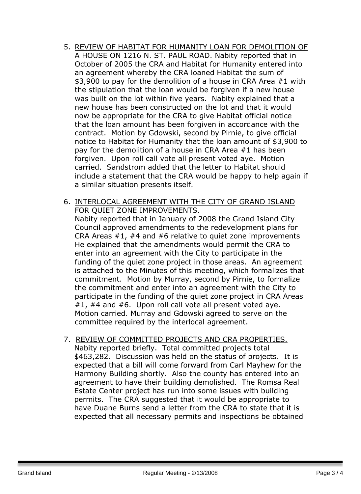- 5. REVIEW OF HABITAT FOR HUMANITY LOAN FOR DEMOLITION OF A HOUSE ON 1216 N. ST. PAUL ROAD. Nabity reported that in October of 2005 the CRA and Habitat for Humanity entered into an agreement whereby the CRA loaned Habitat the sum of \$3,900 to pay for the demolition of a house in CRA Area #1 with the stipulation that the loan would be forgiven if a new house was built on the lot within five years. Nabity explained that a new house has been constructed on the lot and that it would now be appropriate for the CRA to give Habitat official notice that the loan amount has been forgiven in accordance with the contract. Motion by Gdowski, second by Pirnie, to give official notice to Habitat for Humanity that the loan amount of \$3,900 to pay for the demolition of a house in CRA Area #1 has been forgiven. Upon roll call vote all present voted aye. Motion carried. Sandstrom added that the letter to Habitat should include a statement that the CRA would be happy to help again if a similar situation presents itself.
- 6. INTERLOCAL AGREEMENT WITH THE CITY OF GRAND ISLAND FOR QUIET ZONE IMPROVEMENTS.

Nabity reported that in January of 2008 the Grand Island City Council approved amendments to the redevelopment plans for CRA Areas #1, #4 and #6 relative to quiet zone improvements He explained that the amendments would permit the CRA to enter into an agreement with the City to participate in the funding of the quiet zone project in those areas. An agreement is attached to the Minutes of this meeting, which formalizes that commitment. Motion by Murray, second by Pirnie, to formalize the commitment and enter into an agreement with the City to participate in the funding of the quiet zone project in CRA Areas #1, #4 and #6. Upon roll call vote all present voted aye. Motion carried. Murray and Gdowski agreed to serve on the committee required by the interlocal agreement.

7. REVIEW OF COMMITTED PROJECTS AND CRA PROPERTIES. Nabity reported briefly. Total committed projects total \$463,282. Discussion was held on the status of projects. It is expected that a bill will come forward from Carl Mayhew for the Harmony Building shortly. Also the county has entered into an agreement to have their building demolished. The Romsa Real Estate Center project has run into some issues with building permits. The CRA suggested that it would be appropriate to have Duane Burns send a letter from the CRA to state that it is expected that all necessary permits and inspections be obtained